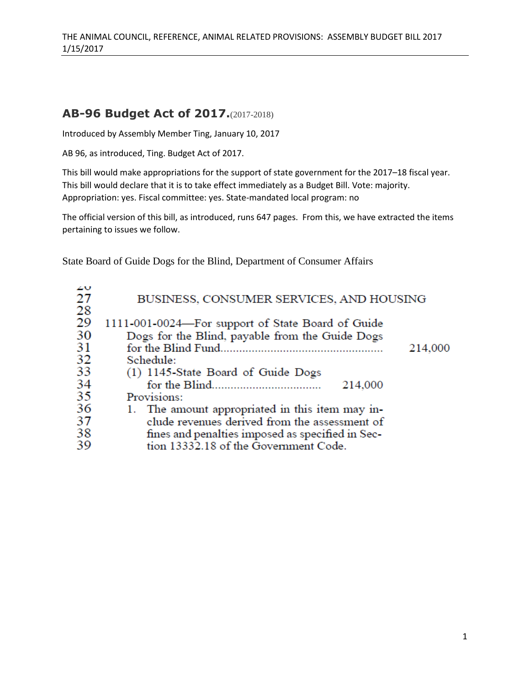## **AB-96 Budget Act of 2017.**(2017-2018)

Introduced by Assembly Member Ting, January 10, 2017

AB 96, as introduced, Ting. Budget Act of 2017.

This bill would make appropriations for the support of state government for the 2017–18 fiscal year. This bill would declare that it is to take effect immediately as a Budget Bill. Vote: majority. Appropriation: yes. Fiscal committee: yes. State-mandated local program: no

The official version of this bill, as introduced, runs 647 pages. From this, we have extracted the items pertaining to issues we follow.

State Board of Guide Dogs for the Blind, Department of Consumer Affairs

| zv |                                                   |         |
|----|---------------------------------------------------|---------|
| 27 | BUSINESS, CONSUMER SERVICES, AND HOUSING          |         |
| 28 |                                                   |         |
| 29 | 1111-001-0024-For support of State Board of Guide |         |
| 30 | Dogs for the Blind, payable from the Guide Dogs   |         |
| 31 |                                                   | 214,000 |
| 32 | Schedule:                                         |         |
| 33 | (1) 1145-State Board of Guide Dogs                |         |
| 34 | 214,000                                           |         |
| 35 | Provisions:                                       |         |
| 36 | 1. The amount appropriated in this item may in-   |         |
| 37 | clude revenues derived from the assessment of     |         |
| 38 | fines and penalties imposed as specified in Sec-  |         |
| 39 | tion 13332.18 of the Government Code.             |         |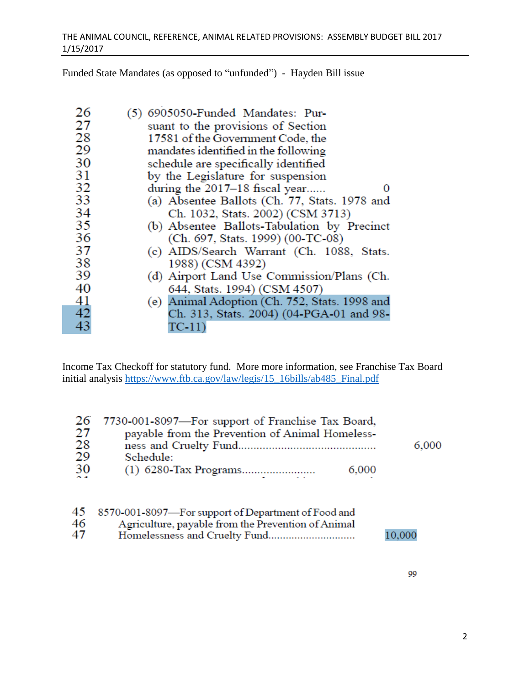Funded State Mandates (as opposed to "unfunded") - Hayden Bill issue

| 26 | (5) 6905050-Funded Mandates: Pur-             |
|----|-----------------------------------------------|
| 27 | suant to the provisions of Section            |
| 28 | 17581 of the Government Code, the             |
| 29 | mandates identified in the following          |
| 30 | schedule are specifically identified          |
| 31 | by the Legislature for suspension             |
| 32 | during the 2017–18 fiscal year                |
| 33 | (a) Absentee Ballots (Ch. 77, Stats. 1978 and |
| 34 | Ch. 1032, Stats. 2002) (CSM 3713)             |
| 35 | (b) Absentee Ballots-Tabulation by Precinct   |
| 36 | (Ch. 697, Stats. 1999) (00-TC-08)             |
| 37 | (c) AIDS/Search Warrant (Ch. 1088, Stats.     |
| 38 | 1988) (CSM 4392)                              |
| 39 | (d) Airport Land Use Commission/Plans (Ch.    |
| 40 | 644, Stats. 1994) (CSM 4507)                  |
| 41 | (e) Animal Adoption (Ch. 752, Stats. 1998 and |
| 42 | Ch. 313, Stats. 2004) (04-PGA-01 and 98-      |
| 43 | $TC-11)$                                      |

Income Tax Checkoff for statutory fund. More more information, see Franchise Tax Board initial analysis [https://www.ftb.ca.gov/law/legis/15\\_16bills/ab485\\_Final.pdf](https://www.ftb.ca.gov/law/legis/15_16bills/ab485_Final.pdf)

|    | 26 7730-001-8097-For support of Franchise Tax Board, |       |       |
|----|------------------------------------------------------|-------|-------|
| 27 | payable from the Prevention of Animal Homeless-      |       |       |
| 28 |                                                      |       | 6,000 |
| 29 | Schedule:                                            |       |       |
| 30 |                                                      | 6,000 |       |
|    |                                                      |       |       |

|    | 45 8570-001-8097—For support of Department of Food and |        |
|----|--------------------------------------------------------|--------|
| 46 | Agriculture, payable from the Prevention of Animal     |        |
| 47 |                                                        | 10,000 |

99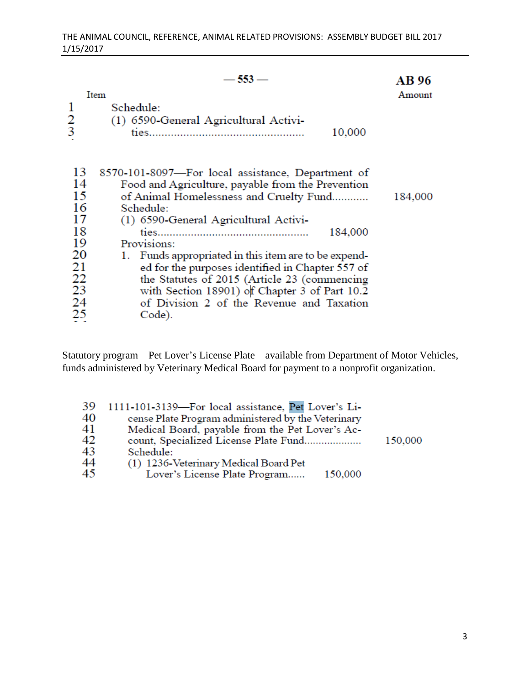|               | — 553                                                | AB 96   |
|---------------|------------------------------------------------------|---------|
|               | Item                                                 | Amount  |
| 1             | Schedule:                                            |         |
|               | (1) 6590 General Agricultural Activi-                |         |
| $\frac{2}{3}$ | 10,000                                               |         |
|               |                                                      |         |
|               |                                                      |         |
| 13            | 8570-101-8097-For local assistance, Department of    |         |
| 14            | Food and Agriculture, payable from the Prevention    |         |
| 15            | of Animal Homelessness and Cruelty Fund              | 184,000 |
| 16            | Schedule:                                            |         |
| 17            | (1) 6590 General Agricultural Activi-                |         |
| 18            | 184,000                                              |         |
| 19            | Provisions:                                          |         |
| 20            |                                                      |         |
|               | 1. Funds appropriated in this item are to be expend- |         |
| 21            | ed for the purposes identified in Chapter 557 of     |         |
| 22            | the Statutes of 2015 (Article 23 (commencing         |         |
| 23            | with Section 18901) of Chapter 3 of Part 10.2        |         |
| 24            | of Division 2 of the Revenue and Taxation            |         |
| 25            | Code).                                               |         |
|               |                                                      |         |

Statutory program – Pet Lover's License Plate – available from Department of Motor Vehicles, funds administered by Veterinary Medical Board for payment to a nonprofit organization.

| 39 | 1111-101-3139-For local assistance, Pet Lover's Li- |         |
|----|-----------------------------------------------------|---------|
| 40 | cense Plate Program administered by the Veterinary  |         |
| 41 | Medical Board, payable from the Pet Lover's Ac-     |         |
| 42 | count, Specialized License Plate Fund               | 150,000 |
| 43 | Schedule:                                           |         |
| 44 | (1) 1236-Veterinary Medical Board Pet               |         |
| 45 | Lover's License Plate Program<br>150,000            |         |